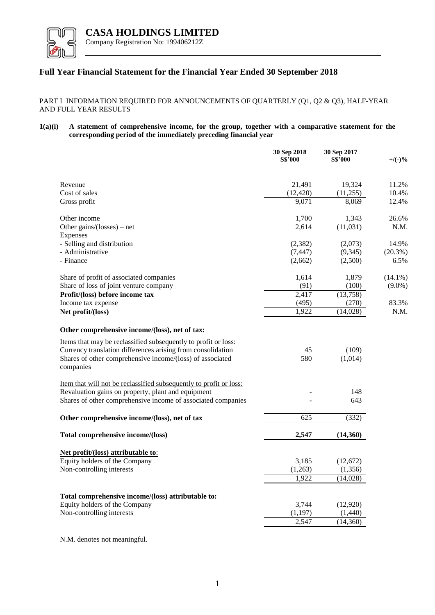

## **Full Year Financial Statement for the Financial Year Ended 30 September 2018**

PART I INFORMATION REQUIRED FOR ANNOUNCEMENTS OF QUARTERLY (Q1, Q2 & Q3), HALF-YEAR AND FULL YEAR RESULTS

**1(a)(i) A statement of comprehensive income, for the group, together with a comparative statement for the corresponding period of the immediately preceding financial year**

|                                                                           | 30 Sep 2018<br><b>S\$'000</b> | 30 Sep 2017<br><b>S\$'000</b> | $+$ /(-)%  |
|---------------------------------------------------------------------------|-------------------------------|-------------------------------|------------|
| Revenue                                                                   | 21,491                        | 19,324                        | 11.2%      |
| Cost of sales                                                             | (12, 420)                     | (11,255)                      | 10.4%      |
| Gross profit                                                              | 9,071                         | 8,069                         | 12.4%      |
| Other income                                                              | 1,700                         | 1,343                         | 26.6%      |
| Other gains/(losses) – net<br>Expenses                                    | 2,614                         | (11,031)                      | N.M.       |
| - Selling and distribution                                                | (2, 382)                      | (2,073)                       | 14.9%      |
| - Administrative                                                          | (7, 447)                      | (9, 345)                      | $(20.3\%)$ |
| - Finance                                                                 | (2,662)                       | (2,500)                       | 6.5%       |
| Share of profit of associated companies                                   | 1,614                         | 1,879                         | $(14.1\%)$ |
| Share of loss of joint venture company                                    | (91)                          | (100)                         | $(9.0\%)$  |
| Profit/(loss) before income tax                                           | 2,417                         | (13,758)                      |            |
| Income tax expense                                                        | (495)                         | (270)                         | 83.3%      |
| Net profit/(loss)                                                         | 1,922                         | (14,028)                      | N.M.       |
| Other comprehensive income/(loss), net of tax:                            |                               |                               |            |
| Items that may be reclassified subsequently to profit or loss:            |                               |                               |            |
| Currency translation differences arising from consolidation               | 45                            | (109)                         |            |
| Shares of other comprehensive income/(loss) of associated<br>companies    | 580                           | (1,014)                       |            |
| <u>Item that will not be reclassified subsequently to profit or loss:</u> |                               |                               |            |
| Revaluation gains on property, plant and equipment                        |                               | 148                           |            |
| Shares of other comprehensive income of associated companies              |                               | 643                           |            |
| Other comprehensive income/(loss), net of tax                             | 625                           | (332)                         |            |
| Total comprehensive income/(loss)                                         | 2,547                         | (14,360)                      |            |
|                                                                           |                               |                               |            |
| Net profit/(loss) attributable to:                                        |                               |                               |            |
| Equity holders of the Company                                             | 3,185                         | (12,672)                      |            |
| Non-controlling interests                                                 | (1,263)                       | (1, 356)<br>(14,028)          |            |
|                                                                           | 1,922                         |                               |            |
| Total comprehensive income/(loss) attributable to:                        |                               |                               |            |
| Equity holders of the Company                                             | 3,744                         | (12,920)                      |            |
| Non-controlling interests                                                 | (1,197)                       | (1,440)                       |            |
|                                                                           | 2,547                         | (14,360)                      |            |
|                                                                           |                               |                               |            |

N.M. denotes not meaningful.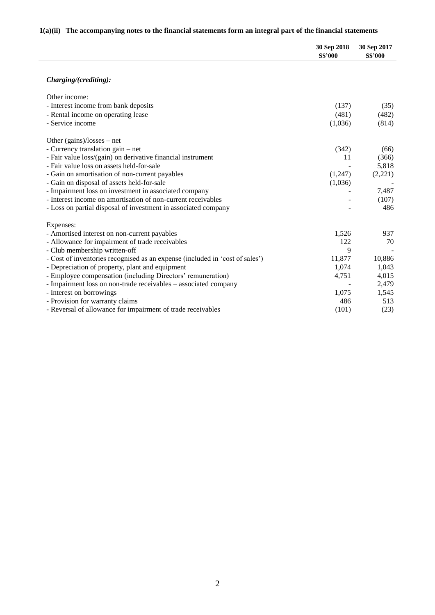# **1(a)(ii) The accompanying notes to the financial statements form an integral part of the financial statements**

|                                                                              | 30 Sep 2018<br><b>S\$'000</b> | 30 Sep 2017<br><b>S\$'000</b> |
|------------------------------------------------------------------------------|-------------------------------|-------------------------------|
| Charging/(crediting):                                                        |                               |                               |
| Other income:                                                                |                               |                               |
| - Interest income from bank deposits                                         | (137)                         | (35)                          |
| - Rental income on operating lease                                           | (481)                         | (482)                         |
| - Service income                                                             | (1,036)                       | (814)                         |
| Other $(gains)/losses - net$                                                 |                               |                               |
| - Currency translation gain – net                                            | (342)                         | (66)                          |
| - Fair value loss/(gain) on derivative financial instrument                  | 11                            | (366)                         |
| - Fair value loss on assets held-for-sale                                    |                               | 5,818                         |
| - Gain on amortisation of non-current payables                               | (1,247)                       | (2,221)                       |
| - Gain on disposal of assets held-for-sale                                   | (1,036)                       |                               |
| - Impairment loss on investment in associated company                        |                               | 7,487                         |
| - Interest income on amortisation of non-current receivables                 |                               | (107)                         |
| - Loss on partial disposal of investment in associated company               |                               | 486                           |
| Expenses:                                                                    |                               |                               |
| - Amortised interest on non-current payables                                 | 1,526                         | 937                           |
| - Allowance for impairment of trade receivables                              | 122                           | 70                            |
| - Club membership written-off                                                | 9                             |                               |
| - Cost of inventories recognised as an expense (included in 'cost of sales') | 11,877                        | 10,886                        |
| - Depreciation of property, plant and equipment                              | 1,074                         | 1,043                         |
| - Employee compensation (including Directors' remuneration)                  | 4,751                         | 4,015                         |
| - Impairment loss on non-trade receivables - associated company              |                               | 2,479                         |
| - Interest on borrowings                                                     | 1,075                         | 1,545                         |
| - Provision for warranty claims                                              | 486                           | 513                           |
| - Reversal of allowance for impairment of trade receivables                  | (101)                         | (23)                          |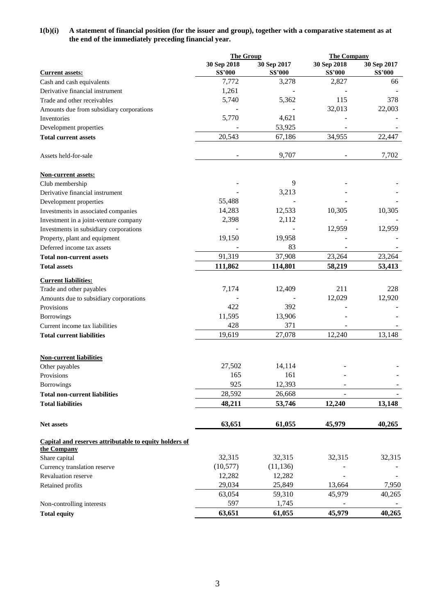### **1(b)(i) A statement of financial position (for the issuer and group), together with a comparative statement as at the end of the immediately preceding financial year.**

|                                                        | <b>The Group</b> |                | <b>The Company</b> |                |
|--------------------------------------------------------|------------------|----------------|--------------------|----------------|
|                                                        | 30 Sep 2018      | 30 Sep 2017    | 30 Sep 2018        | 30 Sep 2017    |
| <b>Current assets:</b>                                 | <b>S\$'000</b>   | <b>S\$'000</b> | <b>S\$'000</b>     | <b>S\$'000</b> |
| Cash and cash equivalents                              | 7,772            | 3,278          | 2,827              | 66             |
| Derivative financial instrument                        | 1,261            |                |                    |                |
| Trade and other receivables                            | 5,740            | 5,362          | 115                | 378            |
| Amounts due from subsidiary corporations               |                  |                | 32,013             | 22,003         |
| Inventories                                            | 5,770            | 4,621          |                    |                |
| Development properties                                 |                  | 53,925         |                    |                |
| <b>Total current assets</b>                            | 20,543           | 67,186         | 34,955             | 22,447         |
| Assets held-for-sale                                   |                  | 9,707          |                    | 7,702          |
| <b>Non-current assets:</b>                             |                  |                |                    |                |
| Club membership                                        |                  | 9              |                    |                |
| Derivative financial instrument                        |                  | 3,213          |                    |                |
| Development properties                                 | 55,488           |                |                    |                |
| Investments in associated companies                    | 14,283           | 12,533         | 10,305             | 10,305         |
| Investment in a joint-venture company                  | 2,398            | 2,112          |                    |                |
| Investments in subsidiary corporations                 |                  |                | 12,959             | 12,959         |
| Property, plant and equipment                          | 19,150           | 19,958         |                    |                |
| Deferred income tax assets                             |                  | 83             |                    |                |
| <b>Total non-current assets</b>                        | 91,319           | 37,908         | 23,264             | 23,264         |
| <b>Total assets</b>                                    | 111,862          | 114,801        | 58,219             | 53,413         |
| <b>Current liabilities:</b>                            |                  |                |                    |                |
| Trade and other payables                               | 7,174            | 12,409         | 211                | 228            |
| Amounts due to subsidiary corporations                 |                  |                | 12,029             | 12,920         |
| Provisions                                             | 422              | 392            |                    |                |
| Borrowings                                             | 11,595           | 13,906         |                    |                |
| Current income tax liabilities                         | 428              | 371            |                    |                |
| <b>Total current liabilities</b>                       | 19,619           | 27,078         | 12,240             | 13,148         |
| <b>Non-current liabilities</b>                         |                  |                |                    |                |
| Other payables                                         | 27,502           | 14,114         |                    |                |
| Provisions                                             | 165              | 161            |                    |                |
| <b>Borrowings</b>                                      | 925              | 12,393         |                    |                |
| <b>Total non-current liabilities</b>                   | 28,592           | 26,668         |                    |                |
| <b>Total liabilities</b>                               | 48,211           | 53,746         | 12,240             | 13,148         |
| Net assets                                             | 63,651           | 61,055         | 45,979             | 40,265         |
| Capital and reserves attributable to equity holders of |                  |                |                    |                |
| the Company                                            |                  |                |                    |                |
| Share capital                                          | 32,315           | 32,315         | 32,315             | 32,315         |
| Currency translation reserve                           | (10, 577)        | (11, 136)      |                    |                |
| <b>Revaluation reserve</b>                             | 12,282           | 12,282         |                    |                |
| Retained profits                                       | 29,034           | 25,849         | 13,664             | 7,950          |
|                                                        | 63,054           | 59,310         | 45,979             | 40,265         |
| Non-controlling interests                              | 597              | 1,745          |                    |                |
| <b>Total equity</b>                                    | 63,651           | 61,055         | 45,979             | 40,265         |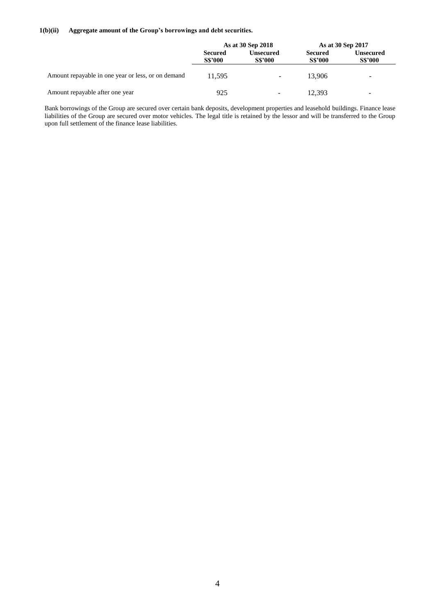#### **1(b)(ii) Aggregate amount of the Group's borrowings and debt securities.**

|                                                    | As at 30 Sep 2018                |                                    | As at 30 Sep 2017                |                             |
|----------------------------------------------------|----------------------------------|------------------------------------|----------------------------------|-----------------------------|
|                                                    | <b>Secured</b><br><b>S\$'000</b> | <b>Unsecured</b><br><b>S\$'000</b> | <b>Secured</b><br><b>S\$'000</b> | Unsecured<br><b>S\$'000</b> |
| Amount repayable in one year or less, or on demand | 11.595                           | ۰                                  | 13.906                           | $\overline{\phantom{a}}$    |
| Amount repayable after one year                    | 925                              | -                                  | 12.393                           | $\overline{\phantom{0}}$    |

Bank borrowings of the Group are secured over certain bank deposits, development properties and leasehold buildings. Finance lease liabilities of the Group are secured over motor vehicles. The legal title is retained by the lessor and will be transferred to the Group upon full settlement of the finance lease liabilities.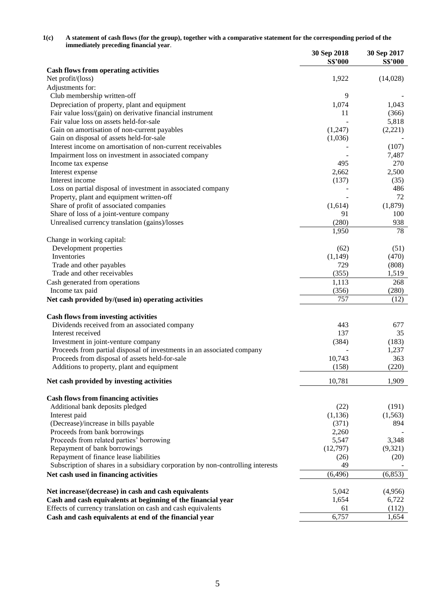| 1(c) | A statement of cash flows (for the group), together with a comparative statement for the corresponding period of the |
|------|----------------------------------------------------------------------------------------------------------------------|
|      | immediately preceding financial year.                                                                                |

|                                                                                 | 30 Sep 2018    | 30 Sep 2017    |
|---------------------------------------------------------------------------------|----------------|----------------|
| <b>Cash flows from operating activities</b>                                     | <b>S\$'000</b> | <b>S\$'000</b> |
| Net profit/(loss)                                                               | 1,922          | (14,028)       |
| Adjustments for:                                                                |                |                |
| Club membership written-off                                                     | 9              |                |
| Depreciation of property, plant and equipment                                   | 1,074          | 1,043          |
| Fair value loss/(gain) on derivative financial instrument                       | 11             | (366)          |
| Fair value loss on assets held-for-sale                                         |                | 5,818          |
| Gain on amortisation of non-current payables                                    | (1,247)        | (2,221)        |
| Gain on disposal of assets held-for-sale                                        | (1,036)        |                |
| Interest income on amortisation of non-current receivables                      |                | (107)          |
| Impairment loss on investment in associated company                             |                | 7,487          |
| Income tax expense                                                              | 495            | 270            |
| Interest expense                                                                | 2,662          | 2,500          |
| Interest income                                                                 | (137)          | (35)           |
| Loss on partial disposal of investment in associated company                    |                | 486            |
| Property, plant and equipment written-off                                       |                | 72             |
| Share of profit of associated companies                                         | (1,614)        | (1,879)        |
| Share of loss of a joint-venture company                                        | 91             | 100            |
| Unrealised currency translation (gains)/losses                                  | (280)          | 938            |
|                                                                                 | 1,950          | 78             |
| Change in working capital:                                                      |                |                |
| Development properties                                                          | (62)           | (51)           |
| Inventories                                                                     | (1, 149)       | (470)          |
| Trade and other payables                                                        | 729            | (808)          |
| Trade and other receivables                                                     | (355)          | 1,519          |
| Cash generated from operations                                                  | 1,113          | 268            |
| Income tax paid                                                                 | (356)          | (280)          |
| Net cash provided by/(used in) operating activities                             | 757            | (12)           |
|                                                                                 |                |                |
| <b>Cash flows from investing activities</b>                                     |                |                |
| Dividends received from an associated company                                   | 443            | 677            |
| Interest received                                                               | 137            | 35             |
| Investment in joint-venture company                                             | (384)          | (183)          |
| Proceeds from partial disposal of investments in an associated company          |                | 1,237          |
| Proceeds from disposal of assets held-for-sale                                  | 10,743         | 363            |
| Additions to property, plant and equipment                                      | (158)          | (220)          |
| Net cash provided by investing activities                                       | 10,781         | 1,909          |
|                                                                                 |                |                |
| <b>Cash flows from financing activities</b>                                     |                |                |
| Additional bank deposits pledged                                                | (22)           | (191)          |
| Interest paid                                                                   | (1, 136)       | (1, 563)       |
| (Decrease)/increase in bills payable                                            | (371)          | 894            |
| Proceeds from bank borrowings                                                   | 2,260          |                |
| Proceeds from related parties' borrowing                                        | 5,547          | 3,348          |
| Repayment of bank borrowings                                                    | (12,797)       | (9,321)        |
| Repayment of finance lease liabilities                                          | (26)           | (20)           |
| Subscription of shares in a subsidiary corporation by non-controlling interests | 49             |                |
| Net cash used in financing activities                                           | (6, 496)       | (6, 853)       |
|                                                                                 |                |                |
| Net increase/(decrease) in cash and cash equivalents                            | 5,042          | (4,956)        |
| Cash and cash equivalents at beginning of the financial year                    | 1,654          | 6,722          |
| Effects of currency translation on cash and cash equivalents                    | 61             | (112)          |
| Cash and cash equivalents at end of the financial year                          | 6,757          | 1,654          |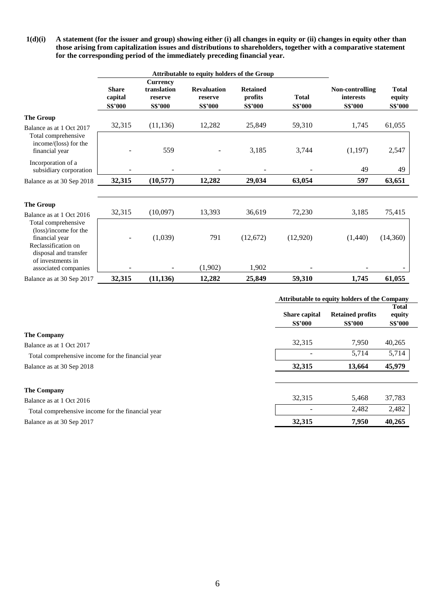**1(d)(i) A statement (for the issuer and group) showing either (i) all changes in equity or (ii) changes in equity other than those arising from capitalization issues and distributions to shareholders, together with a comparative statement for the corresponding period of the immediately preceding financial year.** 

|                                                                                                                |                                           |                                                             | Attributable to equity holders of the Group     |                                              |                                |                                                       |                                          |  |
|----------------------------------------------------------------------------------------------------------------|-------------------------------------------|-------------------------------------------------------------|-------------------------------------------------|----------------------------------------------|--------------------------------|-------------------------------------------------------|------------------------------------------|--|
|                                                                                                                | <b>Share</b><br>capital<br><b>S\$'000</b> | <b>Currency</b><br>translation<br>reserve<br><b>S\$'000</b> | <b>Revaluation</b><br>reserve<br><b>S\$'000</b> | <b>Retained</b><br>profits<br><b>S\$'000</b> | <b>Total</b><br><b>S\$'000</b> | Non-controlling<br><b>interests</b><br><b>S\$'000</b> | <b>Total</b><br>equity<br><b>S\$'000</b> |  |
| <b>The Group</b>                                                                                               |                                           |                                                             |                                                 |                                              |                                |                                                       |                                          |  |
| Balance as at 1 Oct 2017                                                                                       | 32,315                                    | (11, 136)                                                   | 12,282                                          | 25,849                                       | 59,310                         | 1,745                                                 | 61,055                                   |  |
| Total comprehensive<br>income/(loss) for the<br>financial year                                                 |                                           | 559                                                         |                                                 | 3,185                                        | 3,744                          | (1, 197)                                              | 2,547                                    |  |
| Incorporation of a<br>subsidiary corporation                                                                   |                                           |                                                             |                                                 |                                              |                                | 49                                                    | 49                                       |  |
| Balance as at 30 Sep 2018                                                                                      | 32,315                                    | (10, 577)                                                   | 12,282                                          | 29,034                                       | 63,054                         | 597                                                   | 63,651                                   |  |
|                                                                                                                |                                           |                                                             |                                                 |                                              |                                |                                                       |                                          |  |
| <b>The Group</b>                                                                                               |                                           |                                                             |                                                 |                                              |                                |                                                       |                                          |  |
| Balance as at 1 Oct 2016                                                                                       | 32,315                                    | (10,097)                                                    | 13,393                                          | 36,619                                       | 72,230                         | 3,185                                                 | 75,415                                   |  |
| Total comprehensive<br>(loss)/income for the<br>financial year<br>Reclassification on<br>disposal and transfer |                                           | (1,039)                                                     | 791                                             | (12,672)                                     | (12,920)                       | (1,440)                                               | (14,360)                                 |  |
| of investments in<br>associated companies                                                                      |                                           |                                                             | (1,902)                                         | 1,902                                        |                                |                                                       |                                          |  |
| Balance as at 30 Sep 2017                                                                                      | 32,315                                    | (11, 136)                                                   | 12,282                                          | 25,849                                       | 59,310                         | 1,745                                                 | 61,055                                   |  |

|                                                   |                                        | Attributable to equity holders of the Company |                                          |  |  |
|---------------------------------------------------|----------------------------------------|-----------------------------------------------|------------------------------------------|--|--|
|                                                   | <b>Share capital</b><br><b>S\$'000</b> | <b>Retained profits</b><br><b>S\$'000</b>     | <b>Total</b><br>equity<br><b>S\$'000</b> |  |  |
| <b>The Company</b>                                |                                        |                                               |                                          |  |  |
| Balance as at 1 Oct 2017                          | 32,315                                 | 7,950                                         | 40,265                                   |  |  |
| Total comprehensive income for the financial year |                                        | 5,714                                         | 5,714                                    |  |  |
| Balance as at 30 Sep 2018                         | 32,315                                 | 13,664                                        | 45,979                                   |  |  |
| <b>The Company</b>                                |                                        |                                               |                                          |  |  |
| Balance as at 1 Oct 2016                          | 32.315                                 | 5,468                                         | 37,783                                   |  |  |
| Total comprehensive income for the financial year |                                        | 2,482                                         | 2,482                                    |  |  |
| Balance as at 30 Sep 2017                         | 32,315                                 | 7.950                                         | 40,265                                   |  |  |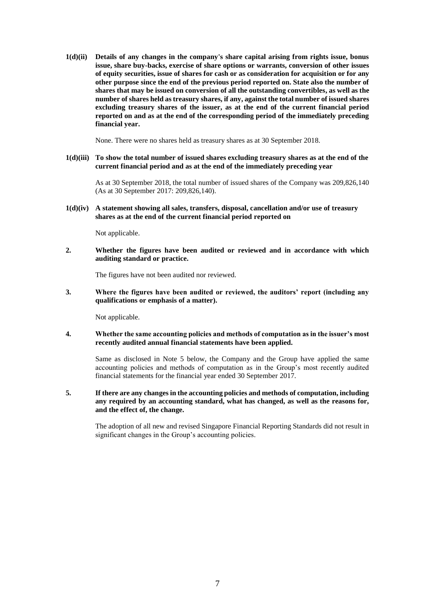**1(d)(ii) Details of any changes in the company's share capital arising from rights issue, bonus issue, share buy-backs, exercise of share options or warrants, conversion of other issues of equity securities, issue of shares for cash or as consideration for acquisition or for any other purpose since the end of the previous period reported on. State also the number of shares that may be issued on conversion of all the outstanding convertibles, as well as the number of shares held as treasury shares, if any, against the total number of issued shares excluding treasury shares of the issuer, as at the end of the current financial period reported on and as at the end of the corresponding period of the immediately preceding financial year.** 

None. There were no shares held as treasury shares as at 30 September 2018.

#### **1(d)(iii) To show the total number of issued shares excluding treasury shares as at the end of the current financial period and as at the end of the immediately preceding year**

As at 30 September 2018, the total number of issued shares of the Company was 209,826,140 (As at 30 September 2017: 209,826,140).

**1(d)(iv) A statement showing all sales, transfers, disposal, cancellation and/or use of treasury shares as at the end of the current financial period reported on**

Not applicable.

**2. Whether the figures have been audited or reviewed and in accordance with which auditing standard or practice.** 

The figures have not been audited nor reviewed.

**3. Where the figures have been audited or reviewed, the auditors' report (including any qualifications or emphasis of a matter).** 

Not applicable.

#### **4. Whether the same accounting policies and methods of computation as in the issuer's most recently audited annual financial statements have been applied.**

Same as disclosed in Note 5 below, the Company and the Group have applied the same accounting policies and methods of computation as in the Group's most recently audited financial statements for the financial year ended 30 September 2017.

#### **5. If there are any changes in the accounting policies and methods of computation, including any required by an accounting standard, what has changed, as well as the reasons for, and the effect of, the change.**

The adoption of all new and revised Singapore Financial Reporting Standards did not result in significant changes in the Group's accounting policies.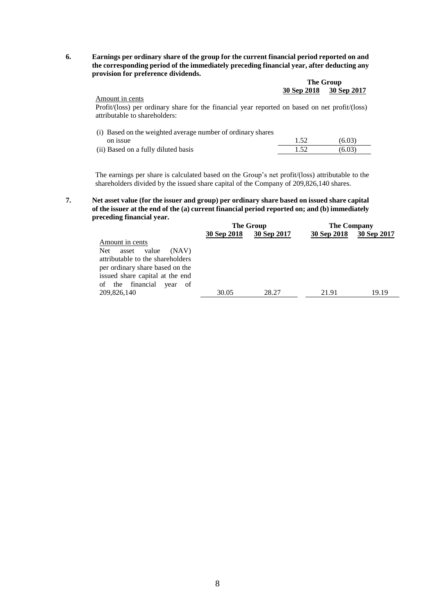**6. Earnings per ordinary share of the group for the current financial period reported on and the corresponding period of the immediately preceding financial year, after deducting any provision for preference dividends.** 

|             | The Group   |
|-------------|-------------|
| 30 Sep 2018 | 30 Sep 2017 |

Amount in cents Profit/(loss) per ordinary share for the financial year reported on based on net profit/(loss) attributable to shareholders:

| (i) Based on the weighted average number of ordinary shares |      |        |
|-------------------------------------------------------------|------|--------|
| on issue                                                    | 1.52 | (6.03) |
| (ii) Based on a fully diluted basis                         | 1.52 | (6.03) |
|                                                             |      |        |

The earnings per share is calculated based on the Group's net profit/(loss) attributable to the shareholders divided by the issued share capital of the Company of 209,826,140 shares.

**7. Net asset value (for the issuer and group) per ordinary share based on issued share capital of the issuer at the end of the (a) current financial period reported on; and (b) immediately preceding financial year.** 

|                                  | The Group   |             | <b>The Company</b> |             |
|----------------------------------|-------------|-------------|--------------------|-------------|
|                                  | 30 Sep 2018 | 30 Sep 2017 | 30 Sep 2018        | 30 Sep 2017 |
| Amount in cents                  |             |             |                    |             |
| Net<br>value<br>asset<br>(NAV)   |             |             |                    |             |
| attributable to the shareholders |             |             |                    |             |
| per ordinary share based on the  |             |             |                    |             |
| issued share capital at the end  |             |             |                    |             |
| of the financial<br>vear<br>- of |             |             |                    |             |
| 209,826,140                      | 30.05       | 28.27       | 21.91              | 19.19       |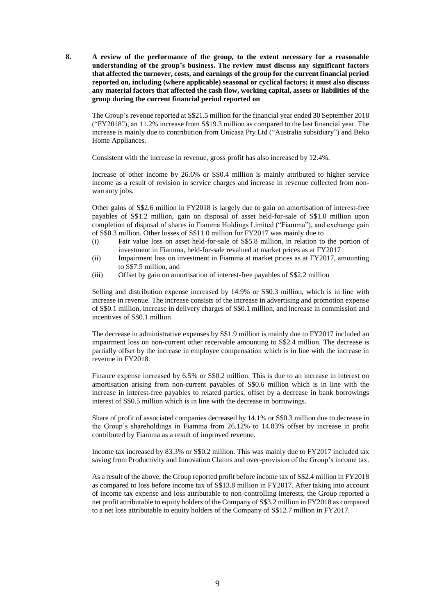**8. A review of the performance of the group, to the extent necessary for a reasonable understanding of the group's business. The review must discuss any significant factors that affected the turnover, costs, and earnings of the group for the current financial period reported on, including (where applicable) seasonal or cyclical factors; it must also discuss any material factors that affected the cash flow, working capital, assets or liabilities of the group during the current financial period reported on**

The Group's revenue reported at S\$21.5 million for the financial year ended 30 September 2018 ("FY2018"), an 11.2% increase from S\$19.3 million as compared to the last financial year. The increase is mainly due to contribution from Unicasa Pty Ltd ("Australia subsidiary") and Beko Home Appliances.

Consistent with the increase in revenue, gross profit has also increased by 12.4%.

Increase of other income by 26.6% or S\$0.4 million is mainly attributed to higher service income as a result of revision in service charges and increase in revenue collected from nonwarranty jobs.

Other gains of S\$2.6 million in FY2018 is largely due to gain on amortisation of interest-free payables of S\$1.2 million, gain on disposal of asset held-for-sale of S\$1.0 million upon completion of disposal of shares in Fiamma Holdings Limited ("Fiamma"), and exchange gain of S\$0.3 million. Other losses of S\$11.0 million for FY2017 was mainly due to

- (i) Fair value loss on asset held-for-sale of S\$5.8 million, in relation to the portion of investment in Fiamma, held-for-sale revalued at market prices as at FY2017
- (ii) Impairment loss on investment in Fiamma at market prices as at FY2017, amounting to S\$7.5 million, and
- (iii) Offset by gain on amortisation of interest-free payables of S\$2.2 million

Selling and distribution expense increased by 14.9% or S\$0.3 million, which is in line with increase in revenue. The increase consists of the increase in advertising and promotion expense of S\$0.1 million, increase in delivery charges of S\$0.1 million, and increase in commission and incentives of S\$0.1 million.

The decrease in administrative expenses by S\$1.9 million is mainly due to FY2017 included an impairment loss on non-current other receivable amounting to S\$2.4 million. The decrease is partially offset by the increase in employee compensation which is in line with the increase in revenue in FY2018.

Finance expense increased by 6.5% or S\$0.2 million. This is due to an increase in interest on amortisation arising from non-current payables of S\$0.6 million which is in line with the increase in interest-free payables to related parties, offset by a decrease in bank borrowings interest of S\$0.5 million which is in line with the decrease in borrowings.

Share of profit of associated companies decreased by 14.1% or S\$0.3 million due to decrease in the Group's shareholdings in Fiamma from 26.12% to 14.83% offset by increase in profit contributed by Fiamma as a result of improved revenue.

Income tax increased by 83.3% or S\$0.2 million. This was mainly due to FY2017 included tax saving from Productivity and Innovation Claims and over-provision of the Group's income tax.

As a result of the above, the Group reported profit before income tax of S\$2.4 million in FY2018 as compared to loss before income tax of S\$13.8 million in FY2017. After taking into account of income tax expense and loss attributable to non-controlling interests, the Group reported a net profit attributable to equity holders of the Company of S\$3.2 million in FY2018 as compared to a net loss attributable to equity holders of the Company of S\$12.7 million in FY2017.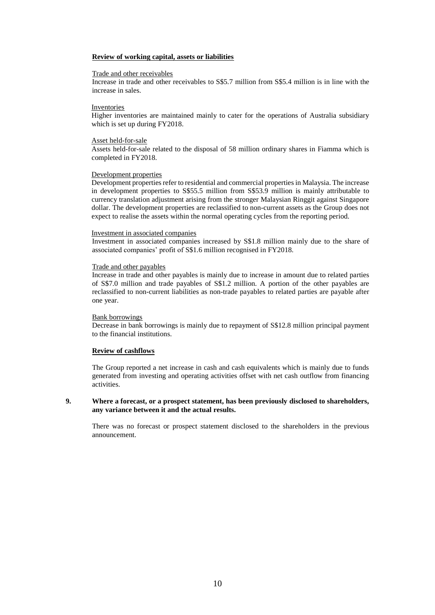#### **Review of working capital, assets or liabilities**

#### Trade and other receivables

Increase in trade and other receivables to S\$5.7 million from S\$5.4 million is in line with the increase in sales.

### Inventories

Higher inventories are maintained mainly to cater for the operations of Australia subsidiary which is set up during FY2018.

#### Asset held-for-sale

Assets held-for-sale related to the disposal of 58 million ordinary shares in Fiamma which is completed in FY2018.

#### Development properties

Development properties refer to residential and commercial properties in Malaysia. The increase in development properties to S\$55.5 million from S\$53.9 million is mainly attributable to currency translation adjustment arising from the stronger Malaysian Ringgit against Singapore dollar. The development properties are reclassified to non-current assets as the Group does not expect to realise the assets within the normal operating cycles from the reporting period.

#### Investment in associated companies

Investment in associated companies increased by S\$1.8 million mainly due to the share of associated companies' profit of S\$1.6 million recognised in FY2018.

#### Trade and other payables

Increase in trade and other payables is mainly due to increase in amount due to related parties of S\$7.0 million and trade payables of S\$1.2 million. A portion of the other payables are reclassified to non-current liabilities as non-trade payables to related parties are payable after one year.

#### Bank borrowings

Decrease in bank borrowings is mainly due to repayment of S\$12.8 million principal payment to the financial institutions.

#### **Review of cashflows**

The Group reported a net increase in cash and cash equivalents which is mainly due to funds generated from investing and operating activities offset with net cash outflow from financing activities.

#### **9. Where a forecast, or a prospect statement, has been previously disclosed to shareholders, any variance between it and the actual results.**

There was no forecast or prospect statement disclosed to the shareholders in the previous announcement.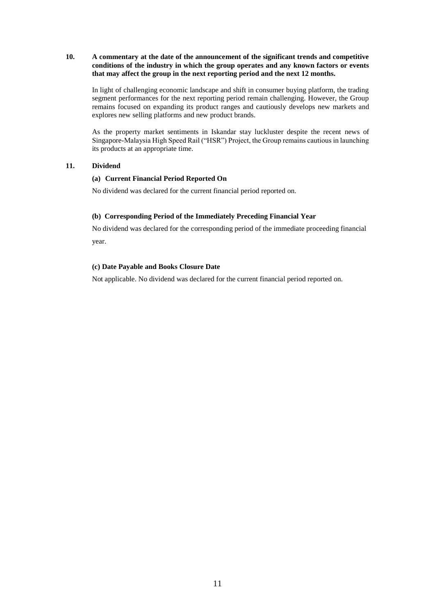### **10. A commentary at the date of the announcement of the significant trends and competitive conditions of the industry in which the group operates and any known factors or events that may affect the group in the next reporting period and the next 12 months.**

In light of challenging economic landscape and shift in consumer buying platform, the trading segment performances for the next reporting period remain challenging. However, the Group remains focused on expanding its product ranges and cautiously develops new markets and explores new selling platforms and new product brands.

As the property market sentiments in Iskandar stay luckluster despite the recent news of Singapore-Malaysia High Speed Rail ("HSR") Project, the Group remains cautious in launching its products at an appropriate time.

### **11. Dividend**

#### **(a) Current Financial Period Reported On**

No dividend was declared for the current financial period reported on.

### **(b) Corresponding Period of the Immediately Preceding Financial Year**

No dividend was declared for the corresponding period of the immediate proceeding financial year.

# **(c) Date Payable and Books Closure Date**

Not applicable. No dividend was declared for the current financial period reported on.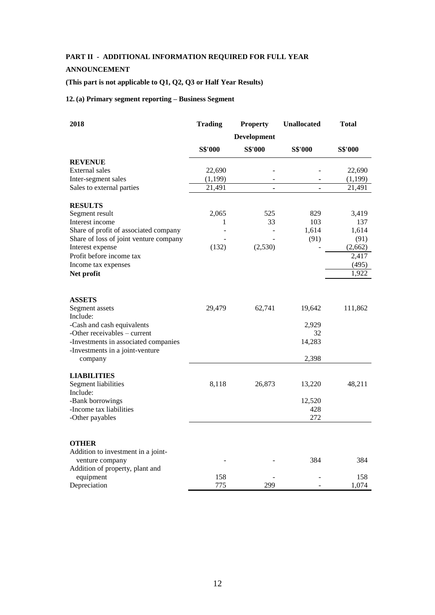# **PART II - ADDITIONAL INFORMATION REQUIRED FOR FULL YEAR**

## **ANNOUNCEMENT**

# **(This part is not applicable to Q1, Q2, Q3 or Half Year Results)**

## **12. (a) Primary segment reporting – Business Segment**

| 2018                                       | <b>Trading</b> | <b>Property</b>    | <b>Unallocated</b> | Total   |
|--------------------------------------------|----------------|--------------------|--------------------|---------|
|                                            |                | <b>Development</b> |                    |         |
|                                            | <b>S\$'000</b> | <b>S\$'000</b>     | <b>S\$'000</b>     | S\$'000 |
| <b>REVENUE</b>                             |                |                    |                    |         |
| <b>External sales</b>                      | 22,690         |                    |                    | 22,690  |
| Inter-segment sales                        | (1, 199)       |                    |                    | (1,199) |
| Sales to external parties                  | 21,491         |                    |                    | 21,491  |
| <b>RESULTS</b>                             |                |                    |                    |         |
| Segment result                             | 2,065          | 525                | 829                | 3,419   |
| Interest income                            | 1              | 33                 | 103                | 137     |
| Share of profit of associated company      |                |                    | 1,614              | 1,614   |
| Share of loss of joint venture company     |                |                    | (91)               | (91)    |
| Interest expense                           | (132)          | (2,530)            |                    | (2,662) |
| Profit before income tax                   |                |                    |                    | 2,417   |
| Income tax expenses                        |                |                    |                    | (495)   |
| Net profit                                 |                |                    |                    | 1,922   |
|                                            |                |                    |                    |         |
| <b>ASSETS</b>                              |                |                    |                    |         |
| Segment assets                             | 29,479         | 62,741             | 19,642             | 111,862 |
| Include:                                   |                |                    |                    |         |
| -Cash and cash equivalents                 |                |                    | 2,929              |         |
| -Other receivables – current               |                |                    | 32                 |         |
| -Investments in associated companies       |                |                    | 14,283             |         |
| -Investments in a joint-venture<br>company |                |                    | 2,398              |         |
|                                            |                |                    |                    |         |
| <b>LIABILITIES</b>                         |                |                    |                    |         |
| Segment liabilities<br>Include:            | 8,118          | 26,873             | 13,220             | 48,211  |
| -Bank borrowings                           |                |                    | 12,520             |         |
| -Income tax liabilities                    |                |                    | 428                |         |
| -Other payables                            |                |                    | 272                |         |
|                                            |                |                    |                    |         |
| <b>OTHER</b>                               |                |                    |                    |         |
| Addition to investment in a joint-         |                |                    |                    |         |
| venture company                            |                |                    | 384                | 384     |
| Addition of property, plant and            |                |                    |                    |         |
| equipment                                  | 158            |                    |                    | 158     |
| Depreciation                               | 775            | 299                |                    | 1,074   |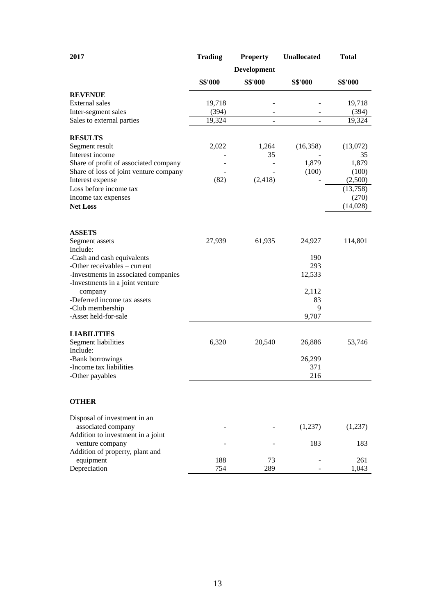| 2017                                                 | <b>Trading</b> | <b>Property</b> | Unallocated    | <b>Total</b> |
|------------------------------------------------------|----------------|-----------------|----------------|--------------|
|                                                      |                | Development     |                |              |
|                                                      | S\$'000        | S\$'000         | <b>S\$'000</b> | S\$'000      |
| <b>REVENUE</b>                                       |                |                 |                |              |
| External sales                                       | 19,718         |                 |                | 19,718       |
| Inter-segment sales                                  | (394)          |                 |                | (394)        |
| Sales to external parties                            | 19,324         | $\blacksquare$  | $\blacksquare$ | 19,324       |
| <b>RESULTS</b>                                       |                |                 |                |              |
| Segment result                                       | 2,022          | 1,264           | (16,358)       | (13,072)     |
| Interest income                                      |                | 35              |                | 35           |
| Share of profit of associated company                |                |                 | 1,879          | 1,879        |
| Share of loss of joint venture company               |                |                 | (100)          | (100)        |
| Interest expense                                     | (82)           | (2, 418)        |                | (2,500)      |
| Loss before income tax                               |                |                 |                | (13,758)     |
| Income tax expenses                                  |                |                 |                | (270)        |
| <b>Net Loss</b>                                      |                |                 |                | (14,028)     |
|                                                      |                |                 |                |              |
| <b>ASSETS</b>                                        |                |                 |                |              |
| Segment assets                                       | 27,939         | 61,935          | 24,927         | 114,801      |
| Include:<br>-Cash and cash equivalents               |                |                 | 190            |              |
| -Other receivables - current                         |                |                 | 293            |              |
| -Investments in associated companies                 |                |                 | 12,533         |              |
| -Investments in a joint venture                      |                |                 |                |              |
| company                                              |                |                 | 2,112          |              |
| -Deferred income tax assets                          |                |                 | 83             |              |
| -Club membership                                     |                |                 | 9              |              |
| -Asset held-for-sale                                 |                |                 | 9,707          |              |
| <b>LIABILITIES</b>                                   |                |                 |                |              |
| Segment liabilities                                  | 6,320          | 20,540          | 26,886         | 53,746       |
| Include:                                             |                |                 |                |              |
| -Bank borrowings                                     |                |                 | 26,299         |              |
| -Income tax liabilities<br>-Other payables           |                |                 | 371<br>216     |              |
|                                                      |                |                 |                |              |
| <b>OTHER</b>                                         |                |                 |                |              |
|                                                      |                |                 |                |              |
| Disposal of investment in an                         |                |                 |                |              |
| associated company                                   |                |                 | (1,237)        | (1,237)      |
| Addition to investment in a joint<br>venture company |                |                 | 183            | 183          |
| Addition of property, plant and                      |                |                 |                |              |
| equipment                                            | 188            | 73              |                | 261          |
| Depreciation                                         | 754            | 289             |                | 1,043        |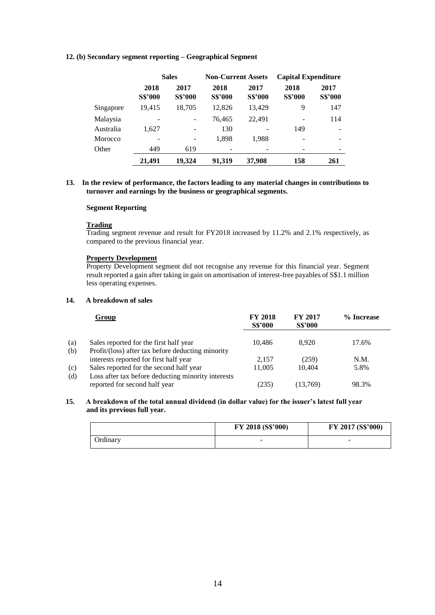#### **12. (b) Secondary segment reporting – Geographical Segment**

|           | <b>Sales</b>           |                        | <b>Non-Current Assets</b> |                        | <b>Capital Expenditure</b> |                        |
|-----------|------------------------|------------------------|---------------------------|------------------------|----------------------------|------------------------|
|           | 2018<br><b>S\$'000</b> | 2017<br><b>S\$'000</b> | 2018<br><b>S\$'000</b>    | 2017<br><b>S\$'000</b> | 2018<br><b>S\$'000</b>     | 2017<br><b>S\$'000</b> |
| Singapore | 19,415                 | 18,705                 | 12,826                    | 13,429                 | 9                          | 147                    |
| Malaysia  |                        |                        | 76,465                    | 22,491                 | ۰                          | 114                    |
| Australia | 1,627                  |                        | 130                       |                        | 149                        |                        |
| Morocco   |                        |                        | 1,898                     | 1.988                  |                            |                        |
| Other     | 449                    | 619                    |                           |                        |                            |                        |
|           | 21,491                 | 19.324                 | 91,319                    | 37,908                 | 158                        | 261                    |

#### **13. In the review of performance, the factors leading to any material changes in contributions to turnover and earnings by the business or geographical segments.**

### **Segment Reporting**

#### **Trading**

Trading segment revenue and result for FY2018 increased by 11.2% and 2.1% respectively, as compared to the previous financial year.

# **Property Development**

Property Development segment did not recognise any revenue for this financial year. Segment result reported a gain after taking in gain on amortisation of interest-free payables of S\$1.1 million less operating expenses.

### **14. A breakdown of sales**

|            | Group                                                                                       | <b>FY 2018</b><br><b>S\$'000</b> | <b>FY 2017</b><br><b>S\$'000</b> | % Increase |
|------------|---------------------------------------------------------------------------------------------|----------------------------------|----------------------------------|------------|
| (a)<br>(b) | Sales reported for the first half year<br>Profit/(loss) after tax before deducting minority | 10.486                           | 8.920                            | 17.6%      |
|            | interests reported for first half year                                                      | 2.157                            | (259)                            | N.M.       |
| (c)        | Sales reported for the second half year                                                     | 11,005                           | 10.404                           | 5.8%       |
| (d)        | Loss after tax before deducting minority interests                                          |                                  |                                  |            |
|            | reported for second half year                                                               | (235)                            | (13,769)                         | 98.3%      |

#### **15. A breakdown of the total annual dividend (in dollar value) for the issuer's latest full year and its previous full year.**

|                 | FY 2018 (S\$'000)        | FY 2017 (S\$'000) |
|-----------------|--------------------------|-------------------|
| <b>Ordinary</b> | $\overline{\phantom{a}}$ | -                 |